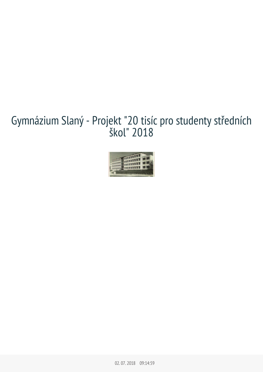# Gymnázium Slaný - Projekt "20 tisíc pro studenty středních



02.07.2018 09:14:59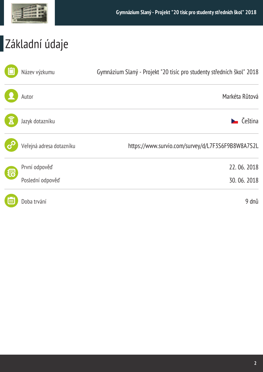

## Základní údaje

|     | Název výzkumu            | Gymnázium Slaný - Projekt "20 tisíc pro studenty středních škol" 2018 |
|-----|--------------------------|-----------------------------------------------------------------------|
|     | Autor                    | Markéta Růtová                                                        |
|     | Jazyk dotazníku          | $\sum$ Čeština                                                        |
|     | Veřejná adresa dotazníku | https://www.survio.com/survey/d/L7F3S6F9B8W8A7S2L                     |
|     | První odpověď            | 22.06.2018                                                            |
| 很   | Poslední odpověď         | 30.06.2018                                                            |
| Įœ, | Doba trvání              | 9 dnů                                                                 |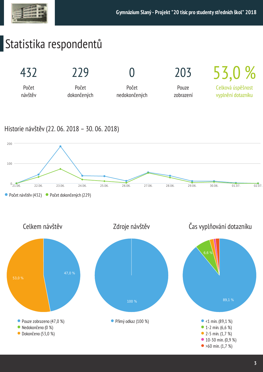## Statistika respondentů



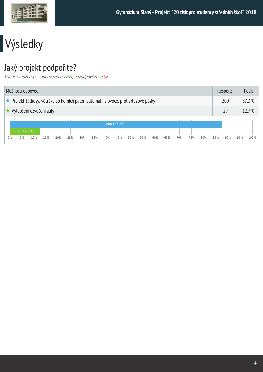

## Výsledky

### Jaký projekt podpoříte?

Výběr z možností, zodpovězeno 229x, nezodpovězeno 0x

| Možnosti odpovědí                                                                   |                         |     |     |     |     |     |     |     |             |     |     | Responzí |     | Podíl  |     |     |     |     |     |      |
|-------------------------------------------------------------------------------------|-------------------------|-----|-----|-----|-----|-----|-----|-----|-------------|-----|-----|----------|-----|--------|-----|-----|-----|-----|-----|------|
| • Projekt 1: dresy, větráky do horních pater, automat na ovoce, protiskluzové pásky |                         |     |     |     |     |     |     |     |             |     |     | 200      |     | 87,3%  |     |     |     |     |     |      |
|                                                                                     | Vylepšení ozvučení auly |     |     |     |     |     |     |     |             |     |     | 29       |     | 12,7 % |     |     |     |     |     |      |
|                                                                                     | 29 (12,7%)              |     |     |     |     |     |     |     | 200 (87,3%) |     |     |          |     |        |     |     |     |     |     |      |
| 0%                                                                                  | 5%                      | 10% | 15% | 20% | 25% | 30% | 35% | 40% | 45%         | 50% | 55% | 60%      | 65% | 70%    | 75% | 80% | 85% | 90% | 95% | 100% |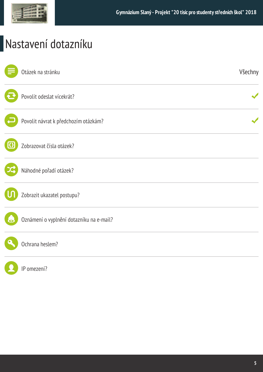

## Nastavení dotazníku

| Otázek na stránku                        | Všechny |
|------------------------------------------|---------|
| Povolit odeslat vícekrát?                |         |
| Povolit návrat k předchozím otázkám?     |         |
| Zobrazovat čísla otázek?                 |         |
| Náhodné pořadí otázek?                   |         |
| Zobrazit ukazatel postupu?               |         |
| Oznámení o vyplnění dotazníku na e-mail? |         |
| Ochrana heslem?                          |         |
| IP omezení?                              |         |